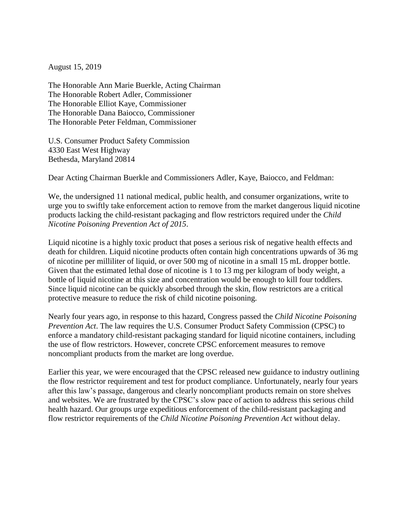August 15, 2019

The Honorable Ann Marie Buerkle, Acting Chairman The Honorable Robert Adler, Commissioner The Honorable Elliot Kaye, Commissioner The Honorable Dana Baiocco, Commissioner The Honorable Peter Feldman, Commissioner

U.S. Consumer Product Safety Commission 4330 East West Highway Bethesda, Maryland 20814

Dear Acting Chairman Buerkle and Commissioners Adler, Kaye, Baiocco, and Feldman:

We, the undersigned 11 national medical, public health, and consumer organizations, write to urge you to swiftly take enforcement action to remove from the market dangerous liquid nicotine products lacking the child-resistant packaging and flow restrictors required under the *Child Nicotine Poisoning Prevention Act of 2015*.

Liquid nicotine is a highly toxic product that poses a serious risk of negative health effects and death for children. Liquid nicotine products often contain high concentrations upwards of 36 mg of nicotine per milliliter of liquid, or over 500 mg of nicotine in a small 15 mL dropper bottle. Given that the estimated lethal dose of nicotine is 1 to 13 mg per kilogram of body weight, a bottle of liquid nicotine at this size and concentration would be enough to kill four toddlers. Since liquid nicotine can be quickly absorbed through the skin, flow restrictors are a critical protective measure to reduce the risk of child nicotine poisoning.

Nearly four years ago, in response to this hazard, Congress passed the *Child Nicotine Poisoning Prevention Act*. The law requires the U.S. Consumer Product Safety Commission (CPSC) to enforce a mandatory child-resistant packaging standard for liquid nicotine containers, including the use of flow restrictors. However, concrete CPSC enforcement measures to remove noncompliant products from the market are long overdue.

Earlier this year, we were encouraged that the CPSC released new guidance to industry outlining the flow restrictor requirement and test for product compliance. Unfortunately, nearly four years after this law's passage, dangerous and clearly noncompliant products remain on store shelves and websites. We are frustrated by the CPSC's slow pace of action to address this serious child health hazard. Our groups urge expeditious enforcement of the child-resistant packaging and flow restrictor requirements of the *Child Nicotine Poisoning Prevention Act* without delay.